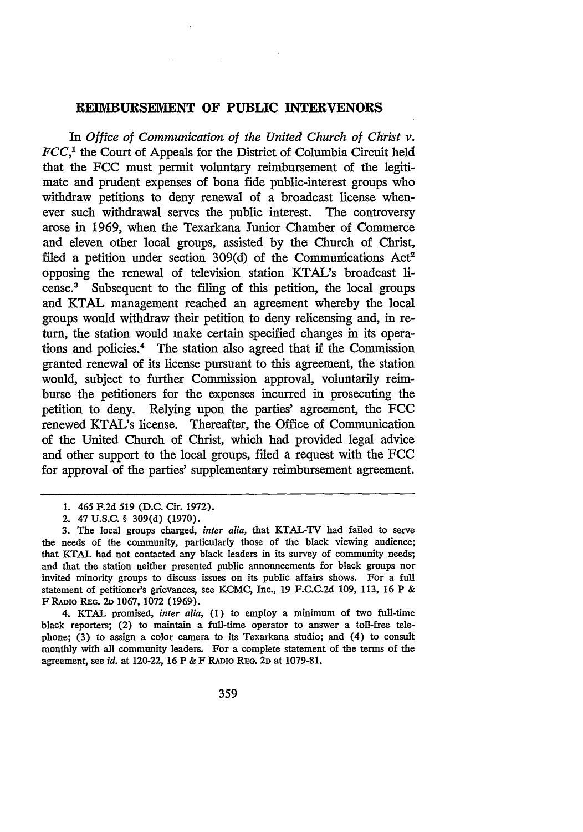## **REIMBURSEMENT OF PUBLIC INTERVENORS**

In *Office of Communication of the United Church of Christ v. FCC,'* the Court of Appeals for the District of Columbia Circuit held that the FCC must permit voluntary reimbursement of the legitimate and prudent expenses of bona fide public-interest groups who withdraw petitions to deny renewal of a broadcast license whenever such withdrawal serves the public interest. The controversy arose in 1969, when the Texarkana Junior Chamber of Commerce and eleven other local groups, assisted by the Church of Christ, filed a petition under section 309(d) of the Communications Act<sup>2</sup> opposing the renewal of television station KTAL's broadcast license.' Subsequent to the filing of this petition, the local groups and KTAL management reached an agreement whereby the local groups would withdraw their petition to deny relicensing and, in return, the station would make certain specified changes in its operations and policies.4 The station also agreed that if the Commission granted renewal of its license pursuant to this agreement, the station would, subject to further Commission approval, voluntarily reimburse the petitioners for the expenses incurred in prosecuting the petition to deny. Relying upon the parties' agreement, the FCC renewed KTAL's license. Thereafter, the Office of Communication of the United Church of Christ, which had provided legal advice and other support to the local groups, filed a request with the FCC for approval of the parties' supplementary reimbursement agreement.

4. KTAL promised, *inter alia,* **(1)** to employ a minimum of two full-time black reporters; (2) to maintain a full-time operator to answer a toll-free telephone; **(3)** to assign a color camera to its Texarkana studio; and (4) to consult monthly with all community leaders. For a complete statement of the terms of the agreement, see *id.* at 120-22, 16 P & F RADIO REG. 2D at 1079-81.

<sup>1. 465</sup> F.2d 519 (D.C. Cir. 1972).

<sup>2. 47</sup> **U.S.C.** § 309(d) **(1970).**

<sup>3.</sup> The local groups charged, *inter alia,* that KTAL-TV had failed to serve the needs of the community, particularly those of the black viewing audience; that KTAL had not contacted any black leaders in its survey of community needs; and that the station neither presented public announcements for black groups nor invited minority groups to discuss issues on its public affairs shows. For a full statement of petitioner's grievances, see KCMC, Inc., 19 **F.C.C.2d 109, 113,** 16 P **&** *F* **RADIO REG. 2D 1067, 1072 (1969).**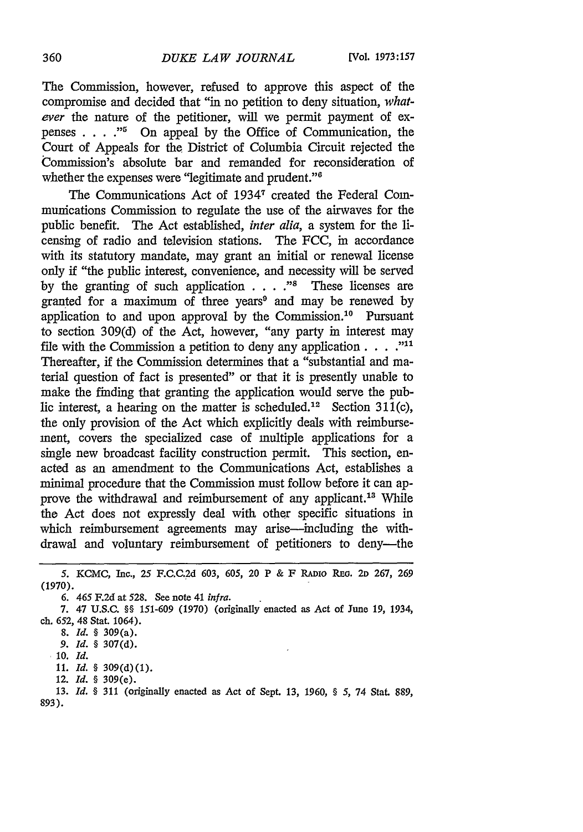The Commission, however, refused to approve this aspect of the compromise and decided that "in no petition to deny situation, *whatever* the nature of the petitioner, will we permit payment of expenses . **. . ."I** On appeal by the Office of Communication, the Court of Appeals for the District of Columbia Circuit rejected the Commission's absolute bar and remanded for reconsideration of whether the expenses were "legitimate and prudent."<sup>6</sup>

The Communications Act of 19347 created the Federal Communications Commission to regulate the use of the airwaves for the public benefit. The Act established, *inter alia,* a system for the licensing of radio and television stations. The FCC, in accordance with its statutory mandate, may grant an initial or renewal license only if "the public interest, convenience, and necessity will be served by the granting of such application . **. . ."8** These licenses are granted for a maximum of three years<sup>9</sup> and may be renewed by application to and upon approval by the Commission.<sup>10</sup> Pursuant to section 309(d) of the Act, however, "any party in interest may file with the Commission a petition to deny any application  $\ldots$   $\ldots$ <sup>11</sup> Thereafter, if the Commission determines that a "substantial and material question of fact is presented" or that it is presently unable to make the finding that granting the application would serve the public interest, a hearing on the matter is scheduled.<sup>12</sup> Section 311(c), the only provision of the Act which explicitly deals with reimbursement, covers the specialized case of multiple applications for a single new broadcast facility construction permit. This section, enacted as an amendment to the Communications Act, establishes a minimal procedure that the Commission must follow before it can approve the withdrawal and reimbursement of any applicant.<sup>13</sup> While the Act does not expressly deal with other specific situations in which reimbursement agreements may arise—including the withdrawal and voluntary reimbursement of petitioners to deny---the

- **11. Id. §** 309(d)(1).
- 12. **Id. §** 309(e).

**13.** *Id. §* 311 (originally enacted as Act of Sept. 13, 1960, *§ 5,* 74 Stat. 889, **893).**

*<sup>5.</sup>* KCMC, Inc., 25 **F.C.C.2d** 603, 605, 20 P & F RADIO RE. **2D 267, 269** (1970).

*<sup>6.</sup>* 465 **F.2d** at 528. See note 41 *infra.*

<sup>7. 47</sup> U.S.C. **§§ 151-609 (1970)** (originally enacted as Act of June **19,** 1934, ch. 652, 48 Stat. 1064).

<sup>8.</sup> *Id. §* 309(a).

*<sup>9.</sup> Id. §* **307(d).**

**<sup>10.</sup>** *Id.*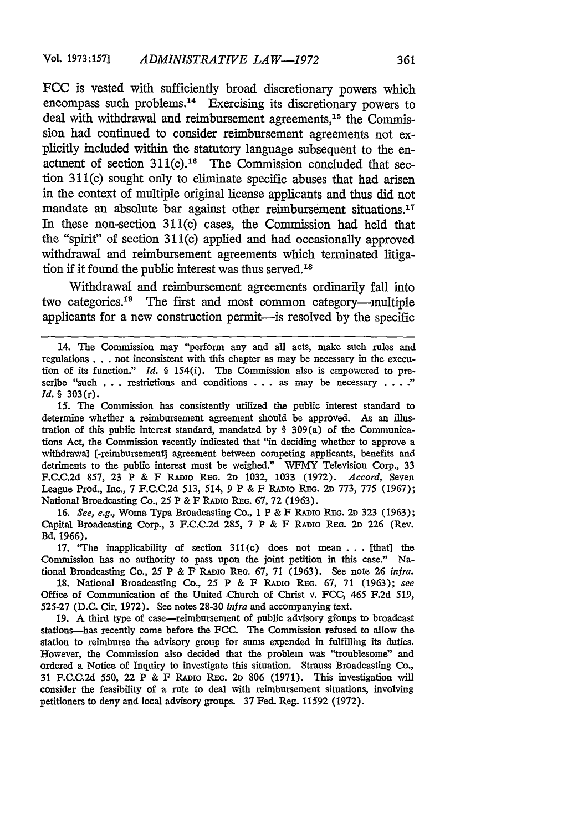**FCC** is vested with sufficiently broad discretionary powers which encompass such problems.<sup>14</sup> Exercising its discretionary powers to deal with withdrawal and reimbursement agreements,<sup>15</sup> the Commission had continued to consider reimbursement agreements not explicitly included within the statutory language subsequent to the enactment of section  $311(c)$ .<sup>16</sup> The Commission concluded that section 311(c) sought only to eliminate specific abuses that had arisen in the context of multiple original license applicants and thus did not mandate an absolute bar against other reimbursement situations.<sup>17</sup> In these non-section 311(c) cases, the Commission had held that the "spirit" of section 311(c) applied and had occasionally approved withdrawal and reimbursement agreements which terminated litigation if it found the public interest was thus served.<sup>18</sup>

Withdrawal and reimbursement agreements ordinarily fall into two categories.<sup>19</sup> The first and most common category—multiple applicants for a new construction permit-is resolved by the specific

**15.** The Commission has consistently utilized the public interest standard to determine whether a reimbursement agreement should be approved. As an illustration of this public interest standard, mandated by § 309(a) of the Communications Act, the Commission recently indicated that "in deciding whether to approve a withdrawal [-reimbursement] agreement between competing applicants, benefits and detriments to the public interest must be weighed." WFMY Television Corp., 33 F.C.C.2d 857, 23 P & F RADIo REG. 2D 1032, 1033 (1972). *Accord,* Seven League Prod., Inc., 7 F.C.C.2d 513, *514, 9* P & F RADIo REG. **2D** 773, 775 (1967); National Broadcasting Co., 25 P & F RADIO REG. 67, 72 (1963).

16. *See, e.g.,* Woma Typa Broadcasting Co., **1** P & F RADIO REG. 2D 323 (1963); Capital Broadcasting Corp., 3 F.C.C.2d 285, 7 P & F RADIO REo. **2D** 226 (Rev. Bd. 1966).

17. "The inapplicability of section 311(c) does not mean ... [that] the Commission has no authority to pass upon the joint petition in this case." National Broadcasting Co., 25 P & F RADIo REG. 67, 71 (1963). See note 26 *infra.*

18. National Broadcasting Co., 25 P & F **RADIo REG.** 67, 71 (1963); *see* Office of Communication of the United Church of Christ v. FCC, 465 F.2d 519, 525-27 (D.C. Cir. 1972). See notes 28-30 *infra* and accompanying text.

19. A third type of case-reimbursement of public advisory gfoups to broadcast stations-has recently come before the FCC. The Commission refused to allow the station to reimburse the advisory group for sums expended in fulfilling its duties. However, the Commission also decided that the problem was "troublesome" and ordered a Notice of Inquiry to investigate this situation. Strauss Broadcasting Co., 31 F.C.C.2d 550, 22 P & F RADIo REm. **2D** 806 (1971). This investigation will consider the feasibility of a rule to deal with reimbursement situations, involving petitioners to deny and local advisory groups. 37 Fed. Reg. 11592 (1972).

<sup>14.</sup> The Commission may "perform any and all acts, make such rules and regulations... not inconsistent with this chapter as may be necessary in the execution of its function." *Id. §* 154(i). The Commission also is empowered to prescribe "such  $\ldots$  restrictions and conditions  $\ldots$  as may be necessary  $\ldots$ " *Id. §* 303(r).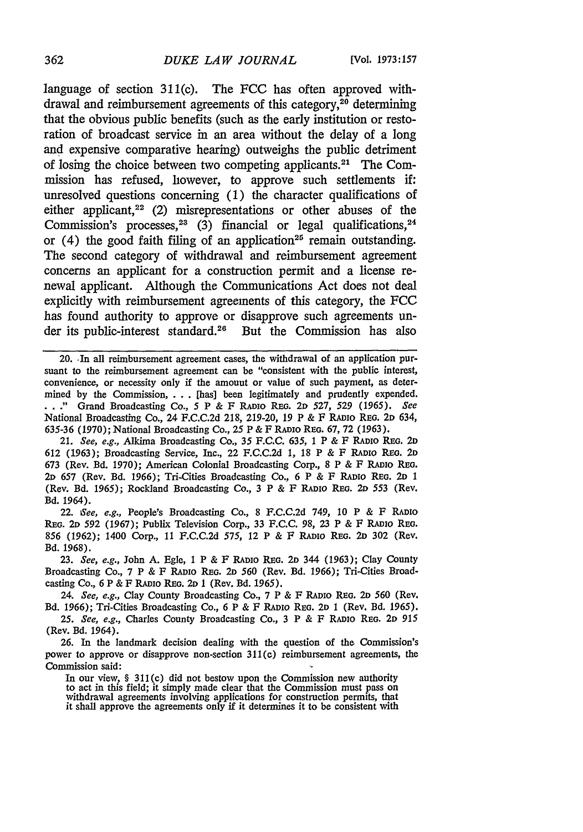## *DUKE LAW JOURNAL*

language of section 311(c). The FCC has often approved withdrawal and reimbursement agreements of this category, $20$  determining that the obvious public benefits (such as the early institution or restoration of broadcast service in an area without the delay of a long and expensive comparative hearing) outweighs the public detriment of losing the choice between two competing applicants. 21 The Commission has refused, however, to approve such settlements if: unresolved questions concerning (1) the character qualifications of either applicant,  $22$  (2) misrepresentations or other abuses of the Commission's processes,  $23$  (3) financial or legal qualifications,  $24$ or  $(4)$  the good faith filing of an application<sup>25</sup> remain outstanding. The second category of withdrawal and reimbursement agreement concerns an applicant for a construction permit and a license renewal applicant. Although the Communications Act does not deal explicitly with reimbursement agreements of this category, the FCC has found authority to approve or disapprove such agreements under its public-interest standard.<sup>26</sup> But the Commission has also

20. In all reimbursement agreement cases, the withdrawal of an application pursuant to the reimbursement agreement can be "consistent with the public interest, convenience, or necessity only if the amount or value of such payment, as determined by the Commission, . **..** [has] been legitimately and prudently expended. \* **.** ." Grand Broadcasting Co., *5* P **&** F RADIo REG. 2D 527, 529 (1965). *See* National Broadcasting Co., 24 F.C.C.2d 218, 219-20, 19 P & F RADIO REG. **2D** 634, 635-36 (1970); National Broadcasting Co., **25** P & F RADIO REG. 67, 72 (1963).

21. *See, e.g.,* Alkima Broadcasting Co., 35 **F.C.C.** 635, **1** P **& F RADIO REG. 2D** 612 (1963); Broadcasting Service, Inc., 22 F.C.C.2d **1,** 18 P & F RADIO RE. **2D** 673 (Rev. Bd. 1970); American Colonial Broadcasting Corp., 8 P & F **RADIO** REG. *2D* 657 (Rev. Bd. 1966); Tri-Cities Broadcasting Co., 6 P **&** F RADIO REG. **2D I** (Rev. Bd. 1965); Rockland Broadcasting Co., 3 P & F RADIO REG. 2D 553 (Rev. **Bd.** 1964).

22. *See, e.g.,* People's Broadcasting Co., 8 F.C.C.2d 749, 10 P & F RADIO REG. **2D** 592 (1967); Publix Television Corp., 33 F.C.C. 98, **23** P & F RADIO **REo.** 856 (1962); 1400 Corp., 11 F.C.C.2d 575, 12 P & F RADIO REG. **2D 302** (Rev. Bd. 1968).

23. *See, e.g.,* John A. Egle, 1 P & F RADIO **REG. 2D** 344 (1963); Clay County Broadcasting Co., 7 P & **F RADIO REG. 2D 560** (Rev. Bd. 1966); Tri-Cities Broadcasting Co., 6 P & F RADIO REG. **2D** 1 (Rev. Bd. 1965).

24. *See, e.g.,* Clay County Broadcasting Co., 7 P **&** F **RADIO REG. 2D** 560 (Rev. Bd. 1966); Tri-Cities Broadcasting Co., 6 P & F RADIO REG. **2D 1** (Rev. Bd. **1965).**

**25.** *See, e.g.,* Charles County Broadcasting Co., 3 P & F **RADIO** REG. **2D** *915* (Rev. Bd. 1964).

**26.** In the landmark decision dealing with the question of the Commission's power to approve or disapprove non-section 311(c) reimbursement agreements, the Commission said:

In our view, § 311(c) did not bestow upon the Commission new authority to act in this field; it simply made clear that the Commission must pass on withdrawal agreements involving applications for construction permits, that it shall approve the agreements only if it determines it to be consistent with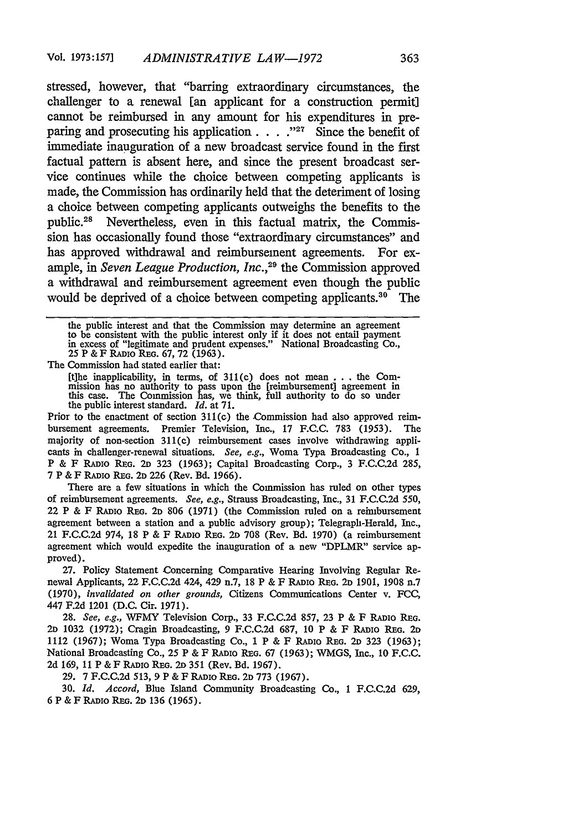stressed, however, that "barring extraordinary circumstances, the challenger to a renewal [an applicant for a construction permit] cannot be reimbursed in any amount for his expenditures in preparing and prosecuting his application **...** "<sup>27</sup> Since the benefit of immediate inauguration of a new broadcast service found in the first factual pattern is absent here, and since the present broadcast service continues while the choice between competing applicants is made, the Commission has ordinarily held that the deteriment of losing a choice between competing applicants outweighs the benefits to the public.<sup>28</sup> Nevertheless, even in this factual matrix, the Commission has occasionally found those "extraordinary circumstances" and has approved withdrawal and reimbursement agreements. For example, in *Seven League Production, Inc.,29* the Commission approved a withdrawal and reimbursement agreement even though the public would be deprived of a choice between competing applicants.<sup>30</sup> The

the public interest and that the Commission may determine an agreement<br>to be consistent with the public interest only if it does not entail payment<br>in excess of "legitimate and prudent expenses." National Broadcasting Co.

The Commission had stated earlier that:

[the inapplicability, in terms, of 311(c) does not mean .. .the Commission has no authority to pass upon the [reimbursement] agreement in this case. The Commission has, we think, full authority to do so under the public interest standard. *Id.* at 71.

Prior to the enactment of section 311(c) the Commission had also approved reimbursement agreements. Premier Television, Inc., 17 F.C.C. 783 (1953). The majority of non-section 311(c) reimbursement cases involve withdrawing applicants in challenger-renewal situations. *See, e.g.,* Woma Typa Broadcasting Co., 1 P & F RADIO REG. 2D 323 (1963); Capital Broadcasting Corp., 3 F.C.C.2d 285, 7 P & F RADIO REG. 2D 226 (Rev. Bd. 1966).

There are a few situations in which the Commission has ruled on other types of reimbursement agreements. *See, e.g.,* Strauss Broadcasting, Inc., 31 F.C.C.2d 550, 22 P & F RADIo REG. **2D** 806 (1971) (the Commission ruled on a reimbursement agreement between a station and a public advisory group); Telegraph-Herald, Inc., 21 F.C.C.2d 974, 18 P & F RADIo REG. **2D** 708 (Rev. Bd. 1970) (a reimbursement agreement which would expedite the inauguration of a new "DPLMR" service approved).

27. Policy Statement Concerning Comparative Hearing Involving Regular Renewal Applicants, 22 F.C.C.2d 424, 429 n.7, 18 P & F RADIO REG. 2D 1901, 1908 n.7 (1970), *invalidated on other grounds,* Citizens Communications Center v. FCC, 447 F.2d 1201 (D.C. Cir. 1971).

28. *See, e.g., WFMY* Television Corp., 33 F.C.C.2d 857, 23 P & F RADIO REG. 20 1032 (1972); Cragin Broadcasting, 9 F.C.C.2d 687, 10 P & F RADIO REG. 2D 1112 (1967); Woma Typa Broadcasting Co., 1 P & F RADIO **REG. 2D** 323 (1963); National Broadcasting Co., 25 P & F RADIo REG. 67 (1963); WMGS, Inc., 10 F.C.C. 2d 169, 11 P & F RADIO **REG. 2D** 351 (Rev. *Bd.* 1967).

29. 7 F.C.C.2d 513, 9 P & F RADIO REG. 2D 773 (1967).

30. *Id. Accord,* Blue Island Community Broadcasting Co., 1 F.C.C.2d 629, 6 P & F RADIO REG. 2D 136 (1965).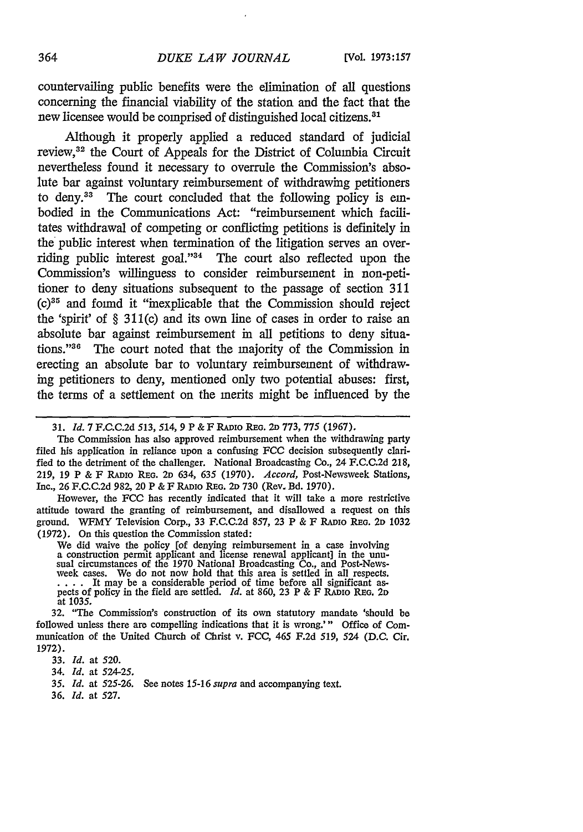countervailing public benefits were the elimination of all questions concerning the financial viability of the station and the fact that the new licensee would be comprised of distinguished local citizens.<sup>81</sup>

Although it properly applied a reduced standard of judicial review,<sup>32</sup> the Court of Appeals for the District of Columbia Circuit nevertheless found it necessary to overrule the Commission's absolute bar against voluntary reimbursement of withdrawing petitioners to deny. $33$  The court concluded that the following policy is embodied in the Communications Act: "reimbursement which facilitates withdrawal of competing or conflicting petitions is definitely in the public interest when termination of the litigation serves an overriding public interest goal." $34$  The court also reflected upon the Commission's willingness to consider reimbursement in non-petitioner to deny situations subsequent to the passage of section 311  $(c)$ <sup>35</sup> and found it "inexplicable that the Commission should reject the 'spirit' of § 311(c) and its own line of cases in order to raise an absolute bar against reimbursement in all petitions to deny situations. '36 The court noted that the majority of the Commission in erecting an absolute bar to voluntary reimbursement of withdrawing petitioners to deny, mentioned only two potential abuses: first, the terms of a settlement on the merits might be influenced by the

The Commission has also approved reimbursement when the withdrawing party filed his application in reliance upon a confusing **FCC** decision subsequently clarified to the detriment of the challenger. National Broadcasting Co., 24 F.C.C.2d 218, 219, 19 P & F **RADio** REG. **2D** 634, 635 (1970). *Accord,* Post-Newsweek Stations, Inc., 26 F.C.C.2d 982, 20 P & F RADIo REo. **2D** 730 (Rev. Bd. 1970).

However, the FCC has recently indicated that it will take a more restrictive attitude toward the granting of reimbursement, and disallowed a request on this ground. WFMY Television Corp., 33 F.C.C.2d 857, 23 P & F **RADIo** REo. **2D** 1032 (1972). On this question the Commission stated:

We did waive the policy [of denying reimbursement in a case involving a construction permit applicant and license renewal applicant] in the unu-<br>sual circumstances of the 1970 National Broadcasting Co., and Post-Newsweek cases. We do not now hold that this area is settled in all respects.<br>... It may be a considerable period of time before all significant aspects of policy in the field are settled. *Id.* at 860, 23 P & F RADIO REG. 2D at 1035.

32. "The Commission's construction of its own statutory mandate 'should be followed unless there are compelling indications that it is wrong."' Office of Communication of the United Church of Christ v. FCC, 465 F.2d 519, 524 (D.C. Cir. 1972).

33. *Id.* at 520.

34. *Id.* at 524-25.

*35. Id.* at 525-26. See notes 15-16 *supra* and accompanying text.

36. *Id.* at 527.

<sup>31.</sup> *Id.* 7 FC.C.2d 513, 514, 9 P & F **RADIoREG. 2D** 773, 775 (1967).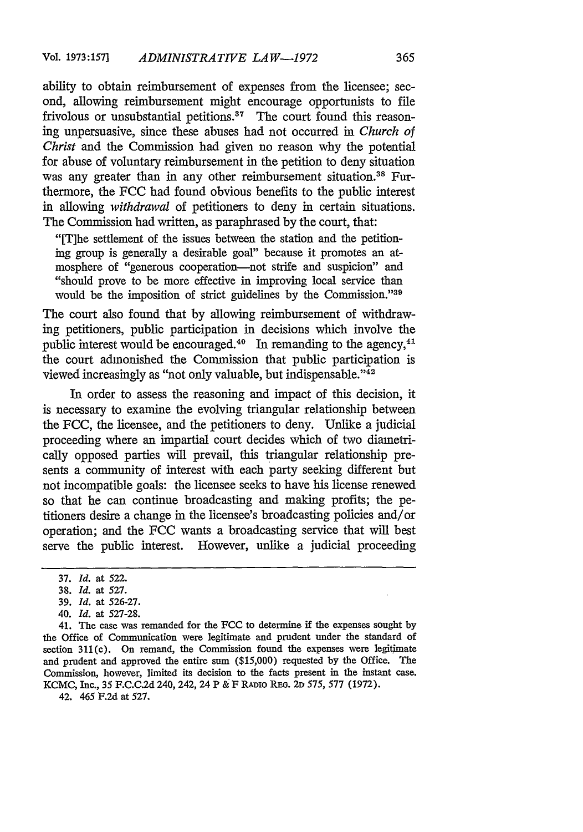ability to obtain reimbursement of expenses from the licensee; second, allowing reimbursement might encourage opportunists to file frivolous or unsubstantial petitions.<sup>37</sup> The court found this reasoning unpersuasive, since these abuses had not occurred in *Church of Christ* and the Commission had given no reason why the potential for abuse of voluntary reimbursement in the petition to deny situation was any greater than in any other reimbursement situation.<sup>38</sup> Furthermore, the FCC had found obvious benefits to the public interest in allowing *withdrawal* of petitioners to deny in certain situations. The Commission had written, as paraphrased by the court, that:

"[The settlement of the issues between the station and the petitioning group is generally a desirable goal" because it promotes an atmosphere of "generous cooperation-not strife and suspicion" and "should prove to be more effective in improving local service than would be the imposition of strict guidelines by the Commission."39

The court also found that by allowing reimbursement of withdrawing petitioners, public participation in decisions which involve the public interest would be encouraged.<sup>40</sup> In remanding to the agency,<sup>41</sup> the court admonished the Commission that public participation is viewed increasingly as "not only valuable, but indispensable."42

In order to assess the reasoning and impact of this decision, it is necessary to examine the evolving triangular relationship between the FCC, the licensee, and the petitioners to deny. Unlike a judicial proceeding where an impartial court decides which of two diametrically opposed parties will prevail, this triangular relationship presents a community of interest with each party seeking different but not incompatible goals: the licensee seeks to have his license renewed so that he can continue broadcasting and making profits; the petitioners desire a change in the licensee's broadcasting policies and/or operation; and the FCC wants a broadcasting service that will best serve the public interest. However, unlike a judicial proceeding

40. *Id.* at 527-28.

41. The case was remanded for the FCC to determine if the expenses sought by the Office of Communication were legitimate and prudent under the standard of section 311(c). On remand, the Commission found the expenses were legitimate and prudent and approved the entire sum (\$15,000) requested by the Office. The Commission, however, limited its decision to the facts present in the instant case. KCMC, Inc., 35 F.C.C.2d 240, 242, 24 P **&** F RADIo **REi. 2D 575,** 577 (1972).

42. 465 F.2d at **527.**

<sup>37.</sup> *Id.* at 522.

**<sup>38.</sup>** *Id.* at **527.**

<sup>39.</sup> *Id.* at 526-27.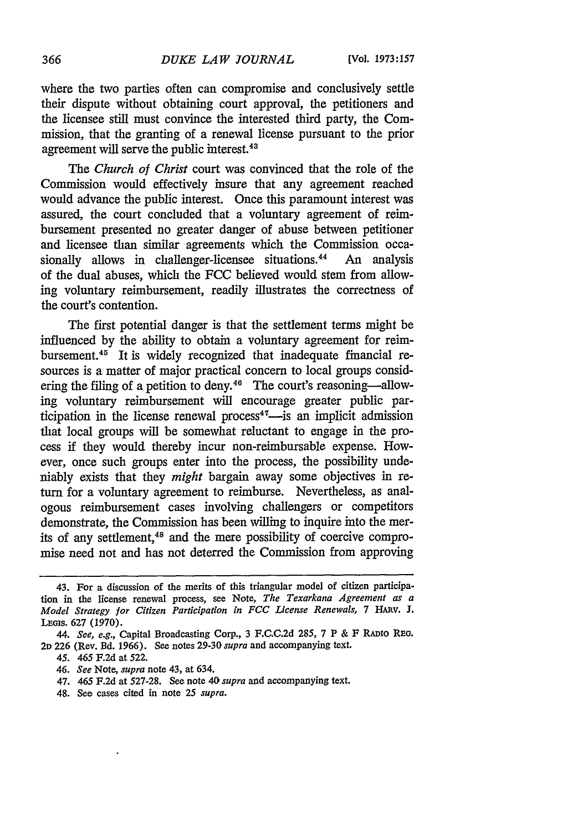where the two parties often can compromise and conclusively settle their dispute without obtaining court approval, the petitioners and the licensee still must convince the interested third party, the Commission, that the granting of a renewal license pursuant to the prior agreement will serve the public interest.<sup>43</sup>

*The Church of Christ* court was convinced that the role of the Commission would effectively insure that any agreement reached would advance the public interest. Once this paramount interest was assured, the court concluded that a voluntary agreement of reimbursement presented no greater danger of abuse between petitioner and licensee than similar agreements which the Commission occa-<br>sionally allows in challenger-licensee situations.<sup>44</sup> An analysis sionally allows in challenger-licensee situations.<sup>44</sup> of the dual abuses, which the FCC believed would stem from allowing voluntary reimbursement, readily illustrates the correctness of the court's contention.

The first potential danger is that the settlement terms might be influenced by the ability to obtain a voluntary agreement for reimbursement.<sup>45</sup> It is widely recognized that inadequate financial resources is a matter of major practical concern to local groups consid- $\epsilon$  and  $\epsilon$  and  $\epsilon$  and  $\epsilon$  and  $\epsilon$  and  $\epsilon$  and  $\epsilon$  are contracted to deny.<sup>46</sup> The court's reasoning-allowing voluntary reimbursement will encourage greater public participation in the license renewal process<sup> $47$ </sup>--is an implicit admission that local groups will be somewhat reluctant to engage in the process if they would thereby incur non-reimbursable expense. However, once such groups enter into the process, the possibility undeniably exists that they *might* bargain away some objectives in return for a voluntary agreement to reimburse. Nevertheless, as analogous reimbursement cases involving challengers or competitors demonstrate, the Commission has been willing to inquire into the merits of any settlement,<sup>48</sup> and the mere possibility of coercive compromise need not and has not deterred the Commission from approving

48. See cases cited in note 25 *supra.*

<sup>43.</sup> For a discussion of the merits of this triangular model of citizen participation in the license renewal process, see Note, *The Texarkana Agreement as a Model Strategy for Citizen Participation in FCC License Renewals,* 7 *HAv.* J. Legis. 627 (1970).

*<sup>44.</sup> See, e.g.,* Capital Broadcasting Corp., 3 F.C.C.2d 285, 7 P & F RADio REO. **2D** 226 (Rev. Bd. 1966). See notes 29-30 *supra* and accompanying text.

*<sup>45.</sup>* 465 F.2d at 522.

<sup>46.</sup> *See* Note, *supra* note 43, at 634.

<sup>47. 465</sup> F.2d at 527-28. See note 40 *supra* and accompanying text.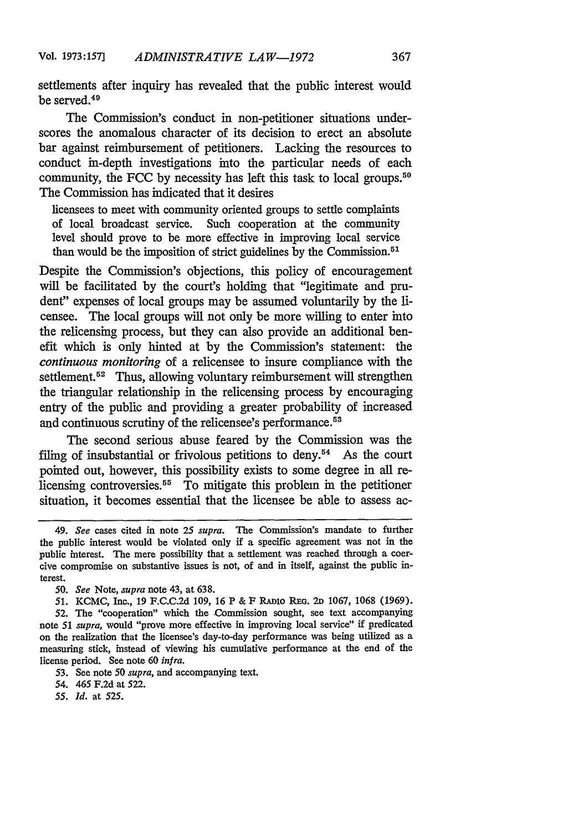settlements after inquiry has revealed that the public interest would be served.49

The Commission's conduct in non-petitioner situations underscores the anomalous character of its decision to erect an absolute bar against reimbursement of petitioners. Lacking the resources to conduct in-depth investigations into the particular needs of each community, the FCC by necessity has left this task to local groups.<sup>50</sup> The Commission has indicated that it desires

licensees to meet with community oriented groups to settle complaints of local broadcast service. Such cooperation at the community level should prove to be more effective in improving local service than would be the imposition of strict guidelines by the Commission.<sup>51</sup>

Despite the Commission's objections, this policy of encouragement will be facilitated by the court's holding that "legitimate and prudent" expenses of local groups may be assumed voluntarily by the licensee. The local groups will not only be more willing to enter into the relicensing process, but they can also provide an additional benefit which is only hinted at by the Commission's statement: the *continuous monitoring* of a relicensee to insure compliance with the settlement.<sup>52</sup> Thus, allowing voluntary reimbursement will strengthen the triangular relationship in the relicensing process by encouraging entry of the public and providing a greater probability of increased and continuous scrutiny of the relicensee's performance.<sup>53</sup>

The second serious abuse feared by the Commission was the filing of insubstantial or frivolous petitions to deny.<sup>54</sup> As the court pointed out, however, this possibility exists to some degree in all relicensing controversies.<sup>55</sup> To mitigate this problem in the petitioner situation, it becomes essential that the licensee be able to assess ac-

53. See note *50 supra,* and accompanying text.

54. 465 F.2d at 522.

*55. Id.* at 525.

<sup>49.</sup> *See* cases cited in note 25 *supra.* The Commission's mandate to further the public interest would be violated only if a specific agreement was not in the public interest. The mere possibility that a settlement was reached through a coercive compromise on substantive issues is not, of and in itself, against the public interest.

*<sup>50.</sup> See* Note, *supra* note 43, at 638.

<sup>51.</sup> KCMC, Inc., 19 F.C.C.2d 109, 16 P & F RAnio **REG. 2D** 1067, 1068 (1969).

<sup>52.</sup> The "cooperation" which the Commission sought, see text accompanying note 51 *supra,* would "prove more effective in improving local service" if predicated on the realization that the licensee's day-to-day performance was being utilized as a measuring stick, instead of viewing his cumulative performance at the end of the license period. See note 60 *infra.*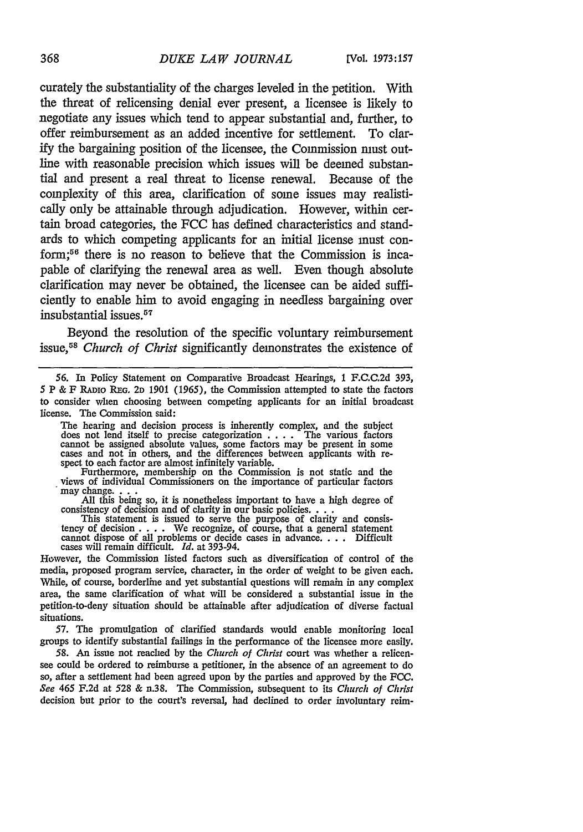curately the substantiality of the charges leveled in the petition. With the threat of relicensing denial ever present, a licensee is likely to negotiate any issues which tend to appear substantial and, further, to offer reimbursement as an added incentive for settlement. To clarify the bargaining position of the licensee, the Commission must outline with reasonable precision which issues will be deemed substantial and present a real threat to license renewal. Because of the complexity of this area, clarification of some issues may realistically only be attainable through adjudication. However, within certain broad categories, the FCC has defined characteristics and standards to which competing applicants for an initial license must conform;56 there is no reason to believe that the Commission is incapable of clarifying the renewal area as well. Even though absolute clarification may never be obtained, the licensee can be aided sufficiently to enable him to avoid engaging in needless bargaining over insubstantial issues.<sup>57</sup>

Beyond the resolution of the specific voluntary reimbursement issue,5s *Church of Christ* significantly demonstrates the existence of

Furthermore, membership on the Commission is not static and the views of individual Commissioners on the importance of particular factors may change.

All this being so, it is nonetheless important to have a high degree of consistency of decision and of clarity in our basic policies.... This statement is issued to serve the purpose of clarity and consis-

tency of decision  $\dots$ . We recognize, of course, that a general statement cannot dispose of all problems or decide cases in advance **....** Difficult cases will remain difficult. Id. at 393-94.

However, the Commission listed factors such as diversification of control of the media, proposed program service, character, in the order of weight to be given each. While, of course, borderline and yet substantial questions will remain in any complex area, the same clarification of what will be considered a substantial issue in the petition-to-deny situation should be attainable after adjudication of diverse factual situations.

57. The promulgation of clarified standards would enable monitoring local groups to identify substantial failings in the performance of the licensee more easily.

58. An issue not reached by the Church of Christ court was whether a relicensee could be ordered to reimburse a petitioner, in the absence of an agreement to do so, after a settlement had been agreed upon by the parties and approved by the FCC. See 465 F.2d at 528 & n.38. The Commission, subsequent to its Church of Christ decision but prior to the court's reversal, had declined to order involuntary reim-

368

<sup>56.</sup> In Policy Statement on Comparative Broadcast Hearings, 1 F.C.C.2d 393, **5 P & F** RADIo REG. 2D 1901 (1965), the Commission attempted to state the factors to consider when choosing between competing applicants for an initial broadcast license. The Commission said:

The hearing and decision process is inherently complex, and the subject does not lend itself to precise categorization  $\dots$ . The various factors cannot be assigned absolute values, some factors may be present in some cases and not in others, and the differences between applicants with re- spect to each factor are almost infinitely variable.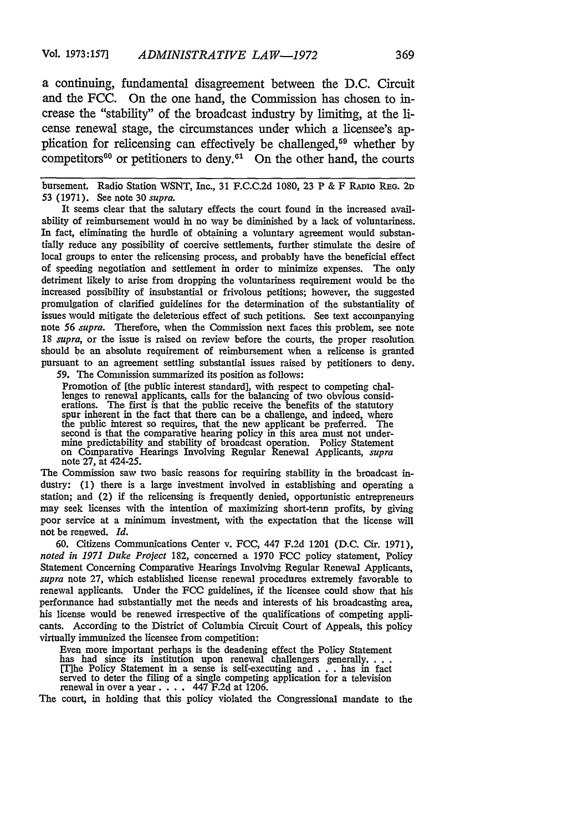a continuing, fundamental disagreement between the D.C. Circuit and the FCC. On the one hand, the Commission has chosen to increase the "stability" of the broadcast industry by limiting, at the license renewal stage, the circumstances under which a licensee's application for relicensing can effectively be challenged,<sup>59</sup> whether by competitors $60$  or petitioners to deny. $61$  On the other hand, the courts

bursement. Radio Station WSNT, Inc., 31 F.C.C.2d 1080, 23 P & F RADIO **REG. 2D** 53 (1971). See note 30 *supra.*

It seems clear that the salutary effects the court found in the increased availability of reimbursement would in no way be diminished by a lack of voluntariness. In fact, eliminating the hurdle of obtaining a voluntary agreement would substantially reduce any possibility of coercive settlements, further stimulate the desire of local groups to enter the relicensing process, and probably have the beneficial effect of speeding negotiation and settlement in order to minimize expenses. The only detriment likely to arise from dropping the voluntariness requirement would be the increased possibility of insubstantial or frivolous petitions; however, the suggested promulgation of clarified guidelines for the determination of the substantiality of issues would mitigate the deleterious effect of such petitions. See text accompanying note *56 supra.* Therefore, when the Commission next faces this problem, see note 18 *supra,* or the issue is raised on review before the courts, the proper resolution should be an absolute requirement of reimbursement when a relicense is granted pursuant to an agreement settling substantial issues raised by petitioners to deny.

59. The Commission summarized its position as follows:

Promotion of [the public interest standard], with respect to competing challenges to renewal applicants, calls for the balancing of two obvious considerations. The first is that the public receive the benefits of the statutory spur inherent in the fact that there can be a challenge, and indeed, where the public interest so requires, that the new applicant be preferred. second is that the comparative hearing policy in this area must not undermine predictability and stability of broadcast operation. Policy Statement on Comparative Hearings Involving Regular Renewal Applicants, *supra* note 27, at 424-25.

The Commission saw two basic reasons for requiring stability in the broadcast industry: (1) there is a large investment involved in establishing and operating a station; and (2) if the relicensing is frequently denied, opportunistic entrepreneurs may seek licenses with the intention of maximizing short-term profits, by giving poor service at a minimum investment, with the expectation that the license will not be renewed. *Id.*

60. Citizens Communications Center v. FCC, 447 F.2d 1201 (D.C. Cir. 1971), *noted in 1971 Duke Project* 182, concerned a 1970 FCC policy statement, Policy Statement Concerning Comparative Hearings Involving Regular Renewal Applicants, *supra* note 27, which established license renewal procedures extremely favorable to renewal applicants. Under the FCC guidelines, if the licensee could show that his performance had substantially met the needs and interests of his broadcasting area, his license would be renewed irrespective of the qualifications of competing applicants. According to the District of Columbia Circuit Court of Appeals, this policy virtually immunized the licensee from competition:

Even more important perhaps is the deadening effect the Policy Statement has had since its institution upon renewal challengers generally...<br>[T]he Policy Statement in a sense is self-executing and ... has in fact<br>served to deter the filing of a single competing application for a television renewal in over a year. . **.** . 447 F.2d at 1206.

The court, in holding that this policy violated the Congressional mandate to the